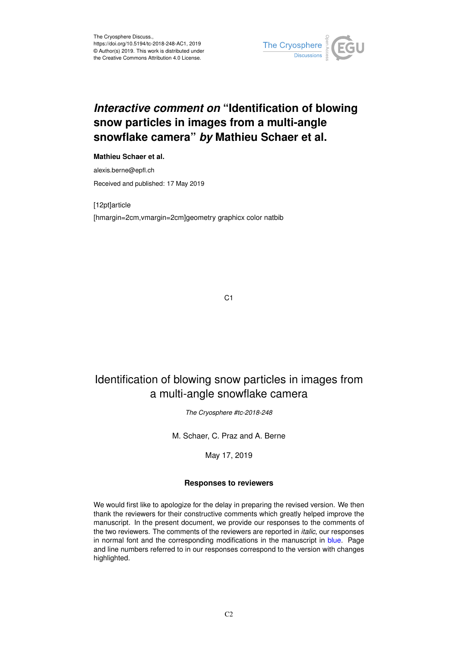

# *Interactive comment on* **"Identification of blowing snow particles in images from a multi-angle snowflake camera"** *by* **Mathieu Schaer et al.**

## **Mathieu Schaer et al.**

alexis.berne@epfl.ch Received and published: 17 May 2019

[12pt]article [hmargin=2cm,vmargin=2cm]geometry graphicx color natbib

C<sub>1</sub>

## Identification of blowing snow particles in images from a multi-angle snowflake camera

*The Cryosphere #tc-2018-248*

M. Schaer, C. Praz and A. Berne

May 17, 2019

### **Responses to reviewers**

We would first like to apologize for the delay in preparing the revised version. We then thank the reviewers for their constructive comments which greatly helped improve the manuscript. In the present document, we provide our responses to the comments of the two reviewers. The comments of the reviewers are reported in *italic*, our responses in normal font and the corresponding modifications in the manuscript in blue. Page and line numbers referred to in our responses correspond to the version with changes highlighted.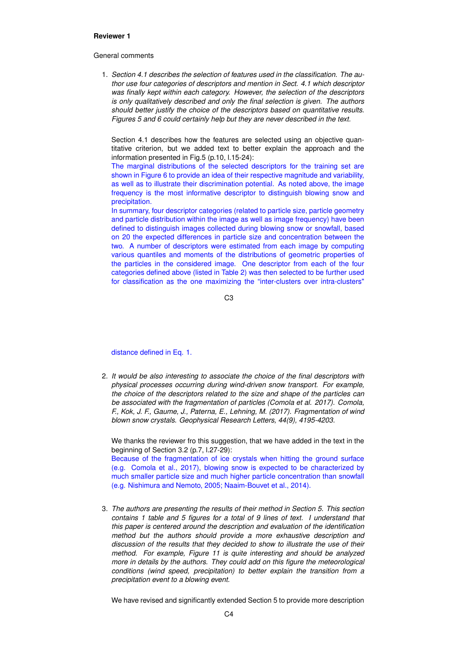#### **Reviewer 1**

#### General comments

1. *Section 4.1 describes the selection of features used in the classification. The author use four categories of descriptors and mention in Sect. 4.1 which descriptor was finally kept within each category. However, the selection of the descriptors is only qualitatively described and only the final selection is given. The authors should better justify the choice of the descriptors based on quantitative results. Figures 5 and 6 could certainly help but they are never described in the text.*

Section 4.1 describes how the features are selected using an objective quantitative criterion, but we added text to better explain the approach and the information presented in Fig.5 (p.10, l.15-24):

The marginal distributions of the selected descriptors for the training set are shown in Figure 6 to provide an idea of their respective magnitude and variability, as well as to illustrate their discrimination potential. As noted above, the image frequency is the most informative descriptor to distinguish blowing snow and precipitation.

In summary, four descriptor categories (related to particle size, particle geometry and particle distribution within the image as well as image frequency) have been defined to distinguish images collected during blowing snow or snowfall, based on 20 the expected differences in particle size and concentration between the two. A number of descriptors were estimated from each image by computing various quantiles and moments of the distributions of geometric properties of the particles in the considered image. One descriptor from each of the four categories defined above (listed in Table 2) was then selected to be further used for classification as the one maximizing the "inter-clusters over intra-clusters"

C3

#### distance defined in Eq. 1.

2. *It would be also interesting to associate the choice of the final descriptors with physical processes occurring during wind-driven snow transport. For example, the choice of the descriptors related to the size and shape of the particles can be associated with the fragmentation of particles (Comola et al. 2017). Comola, F., Kok, J. F., Gaume, J., Paterna, E., Lehning, M. (2017). Fragmentation of wind blown snow crystals. Geophysical Research Letters, 44(9), 4195-4203.*

We thanks the reviewer fro this suggestion, that we have added in the text in the beginning of Section 3.2 (p.7, l.27-29):

Because of the fragmentation of ice crystals when hitting the ground surface (e.g. Comola et al., 2017), blowing snow is expected to be characterized by much smaller particle size and much higher particle concentration than snowfall (e.g. Nishimura and Nemoto, 2005; Naaim-Bouvet et al., 2014).

3. *The authors are presenting the results of their method in Section 5. This section contains 1 table and 5 figures for a total of 9 lines of text. I understand that this paper is centered around the description and evaluation of the identification method but the authors should provide a more exhaustive description and discussion of the results that they decided to show to illustrate the use of their method. For example, Figure 11 is quite interesting and should be analyzed more in details by the authors. They could add on this figure the meteorological conditions (wind speed, precipitation) to better explain the transition from a precipitation event to a blowing event.*

We have revised and significantly extended Section 5 to provide more description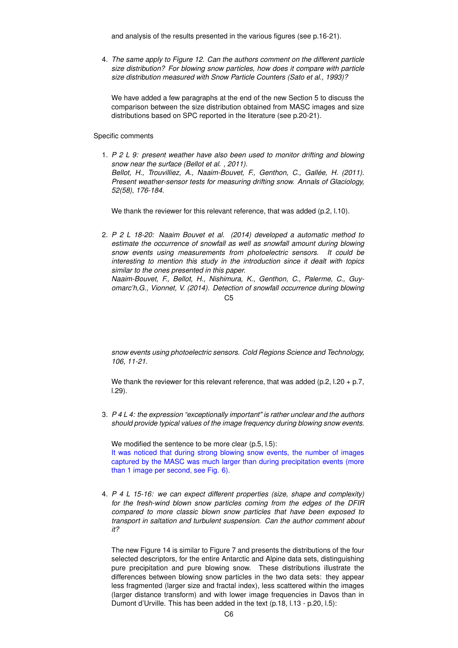and analysis of the results presented in the various figures (see p.16-21).

4. *The same apply to Figure 12. Can the authors comment on the different particle size distribution? For blowing snow particles, how does it compare with particle size distribution measured with Snow Particle Counters (Sato et al., 1993)?*

We have added a few paragraphs at the end of the new Section 5 to discuss the comparison between the size distribution obtained from MASC images and size distributions based on SPC reported in the literature (see p.20-21).

Specific comments

1. *P 2 L 9: present weather have also been used to monitor drifting and blowing snow near the surface (Bellot et al. , 2011). Bellot, H., Trouvilliez, A., Naaim-Bouvet, F., Genthon, C., Gallée, H. (2011). Present weather-sensor tests for measuring drifting snow. Annals of Glaciology, 52(58), 176-184.*

We thank the reviewer for this relevant reference, that was added (p.2, l.10).

2. *P 2 L 18-20: Naaim Bouvet et al. (2014) developed a automatic method to estimate the occurrence of snowfall as well as snowfall amount during blowing snow events using measurements from photoelectric sensors. It could be interesting to mention this study in the introduction since it dealt with topics similar to the ones presented in this paper. Naaim-Bouvet, F., Bellot, H., Nishimura, K., Genthon, C., Palerme, C., Guyomarc'h,G., Vionnet, V. (2014). Detection of snowfall occurrence during blowing*

*snow events using photoelectric sensors. Cold Regions Science and Technology, 106, 11-21.*

We thank the reviewer for this relevant reference, that was added (p.2, l.20 + p.7, l.29).

3. *P 4 L 4: the expression "exceptionally important" is rather unclear and the authors should provide typical values of the image frequency during blowing snow events.*

We modified the sentence to be more clear (p.5, l.5): It was noticed that during strong blowing snow events, the number of images captured by the MASC was much larger than during precipitation events (more than 1 image per second, see Fig. 6).

4. *P 4 L 15-16: we can expect different properties (size, shape and complexity) for the fresh-wind blown snow particles coming from the edges of the DFIR compared to more classic blown snow particles that have been exposed to transport in saltation and turbulent suspension. Can the author comment about it?*

The new Figure 14 is similar to Figure 7 and presents the distributions of the four selected descriptors, for the entire Antarctic and Alpine data sets, distinguishing pure precipitation and pure blowing snow. These distributions illustrate the differences between blowing snow particles in the two data sets: they appear less fragmented (larger size and fractal index), less scattered within the images (larger distance transform) and with lower image frequencies in Davos than in Dumont d'Urville. This has been added in the text (p.18, l.13 - p.20, l.5):

 $C<sub>5</sub>$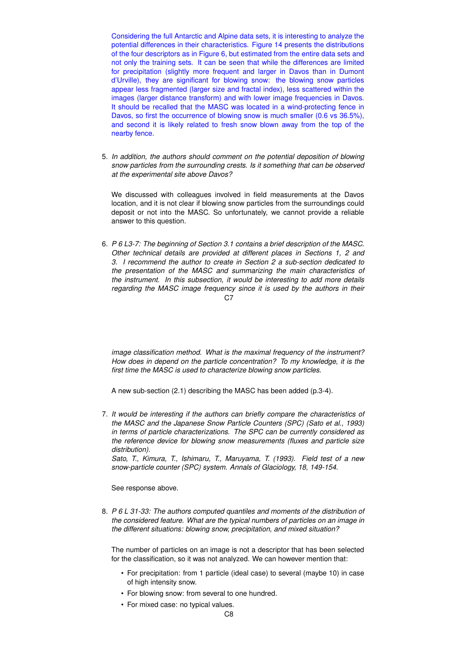Considering the full Antarctic and Alpine data sets, it is interesting to analyze the potential differences in their characteristics. Figure 14 presents the distributions of the four descriptors as in Figure 6, but estimated from the entire data sets and not only the training sets. It can be seen that while the differences are limited for precipitation (slightly more frequent and larger in Davos than in Dumont d'Urville), they are significant for blowing snow: the blowing snow particles appear less fragmented (larger size and fractal index), less scattered within the images (larger distance transform) and with lower image frequencies in Davos. It should be recalled that the MASC was located in a wind-protecting fence in Davos, so first the occurrence of blowing snow is much smaller (0.6 vs 36.5%), and second it is likely related to fresh snow blown away from the top of the nearby fence.

5. *In addition, the authors should comment on the potential deposition of blowing snow particles from the surrounding crests. Is it something that can be observed at the experimental site above Davos?*

We discussed with colleagues involved in field measurements at the Davos location, and it is not clear if blowing snow particles from the surroundings could deposit or not into the MASC. So unfortunately, we cannot provide a reliable answer to this question.

6. *P 6 L3-7: The beginning of Section 3.1 contains a brief description of the MASC. Other technical details are provided at different places in Sections 1, 2 and 3. I recommend the author to create in Section 2 a sub-section dedicated to the presentation of the MASC and summarizing the main characteristics of the instrument. In this subsection, it would be interesting to add more details regarding the MASC image frequency since it is used by the authors in their* C7

*image classification method. What is the maximal frequency of the instrument? How does in depend on the particle concentration? To my knowledge, it is the first time the MASC is used to characterize blowing snow particles.*

A new sub-section (2.1) describing the MASC has been added (p.3-4).

7. *It would be interesting if the authors can briefly compare the characteristics of the MASC and the Japanese Snow Particle Counters (SPC) (Sato et al., 1993) in terms of particle characterizations. The SPC can be currently considered as the reference device for blowing snow measurements (fluxes and particle size distribution).*

*Sato, T., Kimura, T., Ishimaru, T., Maruyama, T. (1993). Field test of a new snow-particle counter (SPC) system. Annals of Glaciology, 18, 149-154.*

See response above.

8. *P 6 L 31-33: The authors computed quantiles and moments of the distribution of the considered feature. What are the typical numbers of particles on an image in the different situations: blowing snow, precipitation, and mixed situation?*

The number of particles on an image is not a descriptor that has been selected for the classification, so it was not analyzed. We can however mention that:

- For precipitation: from 1 particle (ideal case) to several (maybe 10) in case of high intensity snow.
- For blowing snow: from several to one hundred.
- For mixed case: no typical values.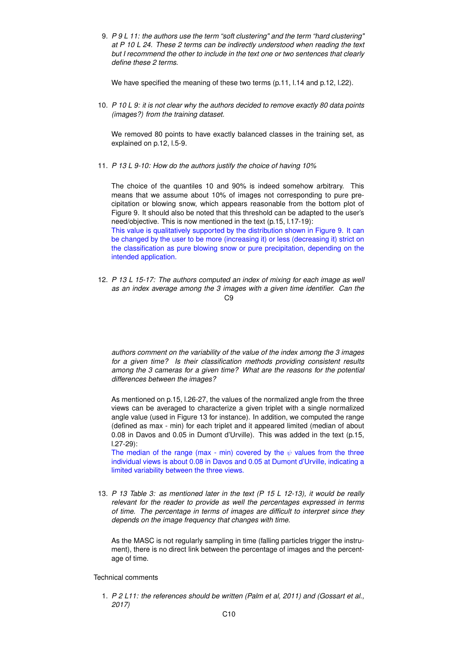9. *P 9 L 11: the authors use the term "soft clustering" and the term "hard clustering" at P 10 L 24. These 2 terms can be indirectly understood when reading the text but I recommend the other to include in the text one or two sentences that clearly define these 2 terms.*

We have specified the meaning of these two terms (p.11, l.14 and p.12, l.22).

10. *P 10 L 9: it is not clear why the authors decided to remove exactly 80 data points (images?) from the training dataset.*

We removed 80 points to have exactly balanced classes in the training set, as explained on p.12, l.5-9.

11. *P 13 L 9-10: How do the authors justify the choice of having 10%*

The choice of the quantiles 10 and 90% is indeed somehow arbitrary. This means that we assume about 10% of images not corresponding to pure precipitation or blowing snow, which appears reasonable from the bottom plot of Figure 9. It should also be noted that this threshold can be adapted to the user's need/objective. This is now mentioned in the text (p.15, l.17-19):

This value is qualitatively supported by the distribution shown in Figure 9. It can be changed by the user to be more (increasing it) or less (decreasing it) strict on the classification as pure blowing snow or pure precipitation, depending on the intended application.

12. *P 13 L 15-17: The authors computed an index of mixing for each image as well as an index average among the 3 images with a given time identifier. Can the* C9

*authors comment on the variability of the value of the index among the 3 images for a given time? Is their classification methods providing consistent results among the 3 cameras for a given time? What are the reasons for the potential differences between the images?*

As mentioned on p.15, l.26-27, the values of the normalized angle from the three views can be averaged to characterize a given triplet with a single normalized angle value (used in Figure 13 for instance). In addition, we computed the range (defined as max - min) for each triplet and it appeared limited (median of about 0.08 in Davos and 0.05 in Dumont d'Urville). This was added in the text (p.15, l.27-29):

The median of the range (max - min) covered by the  $\psi$  values from the three individual views is about 0.08 in Davos and 0.05 at Dumont d'Urville, indicating a limited variability between the three views.

13. *P 13 Table 3: as mentioned later in the text (P 15 L 12-13), it would be really relevant for the reader to provide as well the percentages expressed in terms of time. The percentage in terms of images are difficult to interpret since they depends on the image frequency that changes with time.*

As the MASC is not regularly sampling in time (falling particles trigger the instrument), there is no direct link between the percentage of images and the percentage of time.

Technical comments

1. *P 2 L11: the references should be written (Palm et al, 2011) and (Gossart et al., 2017)*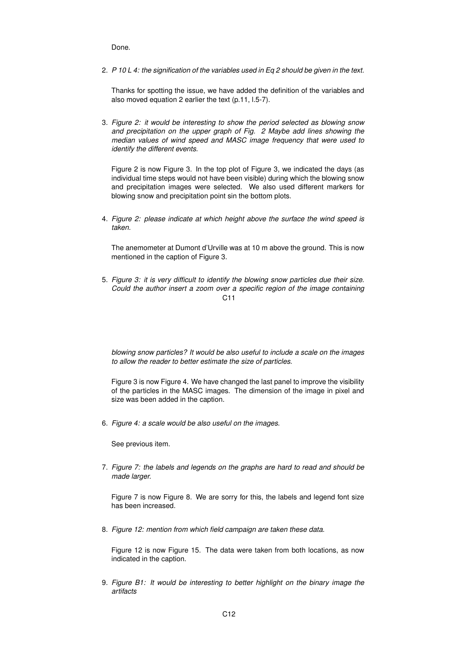Done.

2. *P 10 L 4: the signification of the variables used in Eq 2 should be given in the text.*

Thanks for spotting the issue, we have added the definition of the variables and also moved equation 2 earlier the text (p.11, l.5-7).

3. *Figure 2: it would be interesting to show the period selected as blowing snow and precipitation on the upper graph of Fig. 2 Maybe add lines showing the median values of wind speed and MASC image frequency that were used to identify the different events.*

Figure 2 is now Figure 3. In the top plot of Figure 3, we indicated the days (as individual time steps would not have been visible) during which the blowing snow and precipitation images were selected. We also used different markers for blowing snow and precipitation point sin the bottom plots.

4. *Figure 2: please indicate at which height above the surface the wind speed is taken.*

The anemometer at Dumont d'Urville was at 10 m above the ground. This is now mentioned in the caption of Figure 3.

5. *Figure 3: it is very difficult to identify the blowing snow particles due their size. Could the author insert a zoom over a specific region of the image containing*  $C<sub>11</sub>$ 

*blowing snow particles? It would be also useful to include a scale on the images to allow the reader to better estimate the size of particles.*

Figure 3 is now Figure 4. We have changed the last panel to improve the visibility of the particles in the MASC images. The dimension of the image in pixel and size was been added in the caption.

6. *Figure 4: a scale would be also useful on the images.*

See previous item.

7. *Figure 7: the labels and legends on the graphs are hard to read and should be made larger.*

Figure 7 is now Figure 8. We are sorry for this, the labels and legend font size has been increased.

8. *Figure 12: mention from which field campaign are taken these data.*

Figure 12 is now Figure 15. The data were taken from both locations, as now indicated in the caption.

9. *Figure B1: It would be interesting to better highlight on the binary image the artifacts*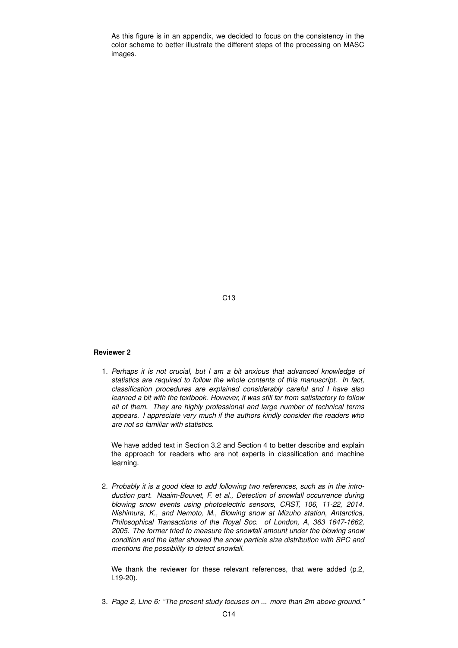As this figure is in an appendix, we decided to focus on the consistency in the color scheme to better illustrate the different steps of the processing on MASC images.

C13

#### **Reviewer 2**

1. *Perhaps it is not crucial, but I am a bit anxious that advanced knowledge of statistics are required to follow the whole contents of this manuscript. In fact, classification procedures are explained considerably careful and I have also learned a bit with the textbook. However, it was still far from satisfactory to follow all of them. They are highly professional and large number of technical terms appears. I appreciate very much if the authors kindly consider the readers who are not so familiar with statistics.*

We have added text in Section 3.2 and Section 4 to better describe and explain the approach for readers who are not experts in classification and machine learning.

2. *Probably it is a good idea to add following two references, such as in the introduction part. Naaim-Bouvet, F. et al., Detection of snowfall occurrence during blowing snow events using photoelectric sensors, CRST, 106, 11-22, 2014. Nishimura, K., and Nemoto, M., Blowing snow at Mizuho station, Antarctica, Philosophical Transactions of the Royal Soc. of London, A, 363 1647-1662, 2005. The former tried to measure the snowfall amount under the blowing snow condition and the latter showed the snow particle size distribution with SPC and mentions the possibility to detect snowfall.*

We thank the reviewer for these relevant references, that were added (p.2, l.19-20).

3. *Page 2, Line 6: "The present study focuses on ... more than 2m above ground."*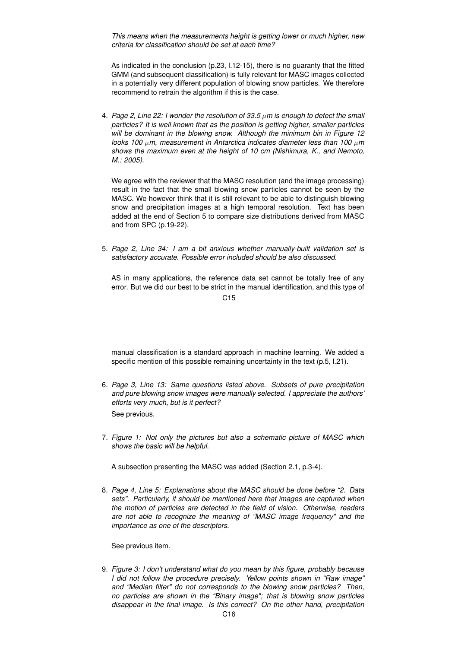*This means when the measurements height is getting lower or much higher, new criteria for classification should be set at each time?*

As indicated in the conclusion (p.23, l.12-15), there is no guaranty that the fitted GMM (and subsequent classification) is fully relevant for MASC images collected in a potentially very different population of blowing snow particles. We therefore recommend to retrain the algorithm if this is the case.

4. *Page 2, Line 22: I wonder the resolution of 33.5* µ*m is enough to detect the small particles? It is well known that as the position is getting higher, smaller particles will be dominant in the blowing snow. Although the minimum bin in Figure 12 looks 100* µ*m, measurement in Antarctica indicates diameter less than 100* µ*m shows the maximum even at the height of 10 cm (Nishimura, K., and Nemoto, M.: 2005).*

We agree with the reviewer that the MASC resolution (and the image processing) result in the fact that the small blowing snow particles cannot be seen by the MASC. We however think that it is still relevant to be able to distinguish blowing snow and precipitation images at a high temporal resolution. Text has been added at the end of Section 5 to compare size distributions derived from MASC and from SPC (p.19-22).

5. *Page 2, Line 34: I am a bit anxious whether manually-built validation set is satisfactory accurate. Possible error included should be also discussed.*

AS in many applications, the reference data set cannot be totally free of any error. But we did our best to be strict in the manual identification, and this type of

C<sub>15</sub>

manual classification is a standard approach in machine learning. We added a specific mention of this possible remaining uncertainty in the text (p.5, l.21).

- 6. *Page 3, Line 13: Same questions listed above. Subsets of pure precipitation and pure blowing snow images were manually selected. I appreciate the authors' efforts very much, but is it perfect?* See previous.
- 7. *Figure 1: Not only the pictures but also a schematic picture of MASC which shows the basic will be helpful.*

A subsection presenting the MASC was added (Section 2.1, p.3-4).

8. *Page 4, Line 5: Explanations about the MASC should be done before "2. Data sets". Particularly, it should be mentioned here that images are captured when the motion of particles are detected in the field of vision. Otherwise, readers are not able to recognize the meaning of "MASC image frequency" and the importance as one of the descriptors.*

See previous item.

9. *Figure 3: I don't understand what do you mean by this figure, probably because I did not follow the procedure precisely. Yellow points shown in "Raw image" and "Median filter" do not corresponds to the blowing snow particles? Then, no particles are shown in the "Binary image"; that is blowing snow particles disappear in the final image. Is this correct? On the other hand, precipitation*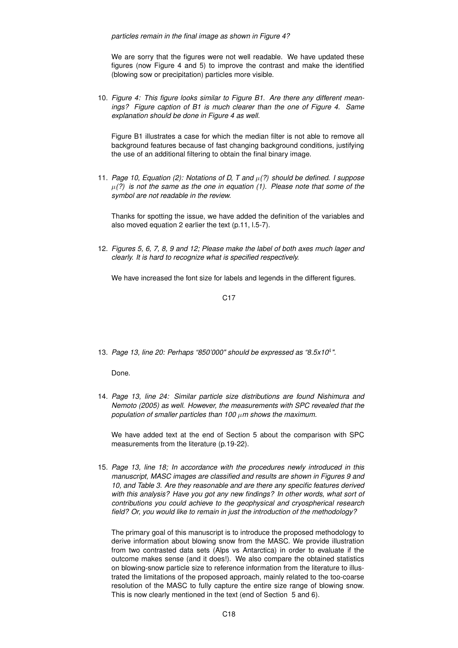We are sorry that the figures were not well readable. We have updated these figures (now Figure 4 and 5) to improve the contrast and make the identified (blowing sow or precipitation) particles more visible.

10. *Figure 4: This figure looks similar to Figure B1. Are there any different meanings? Figure caption of B1 is much clearer than the one of Figure 4. Same explanation should be done in Figure 4 as well.*

Figure B1 illustrates a case for which the median filter is not able to remove all background features because of fast changing background conditions, justifying the use of an additional filtering to obtain the final binary image.

11. *Page 10, Equation (2): Notations of D, T and* µ*(?) should be defined. I suppose*  $\mu(?)$  is not the same as the one in equation (1). Please note that some of the *symbol are not readable in the review.*

Thanks for spotting the issue, we have added the definition of the variables and also moved equation 2 earlier the text (p.11, l.5-7).

12. *Figures 5, 6, 7, 8, 9 and 12; Please make the label of both axes much lager and clearly. It is hard to recognize what is specified respectively.*

We have increased the font size for labels and legends in the different figures.

C17

13. *Page 13, line 20: Perhaps "850'000" should be expressed as "8.5x10*<sup>4</sup> *".*

Done.

14. *Page 13, line 24: Similar particle size distributions are found Nishimura and Nemoto (2005) as well. However, the measurements with SPC revealed that the population of smaller particles than 100* µ*m shows the maximum.*

We have added text at the end of Section 5 about the comparison with SPC measurements from the literature (p.19-22).

15. *Page 13, line 18; In accordance with the procedures newly introduced in this manuscript, MASC images are classified and results are shown in Figures 9 and 10, and Table 3. Are they reasonable and are there any specific features derived with this analysis? Have you got any new findings? In other words, what sort of contributions you could achieve to the geophysical and cryospherical research field? Or, you would like to remain in just the introduction of the methodology?*

The primary goal of this manuscript is to introduce the proposed methodology to derive information about blowing snow from the MASC. We provide illustration from two contrasted data sets (Alps vs Antarctica) in order to evaluate if the outcome makes sense (and it does!). We also compare the obtained statistics on blowing-snow particle size to reference information from the literature to illustrated the limitations of the proposed approach, mainly related to the too-coarse resolution of the MASC to fully capture the entire size range of blowing snow. This is now clearly mentioned in the text (end of Section 5 and 6).